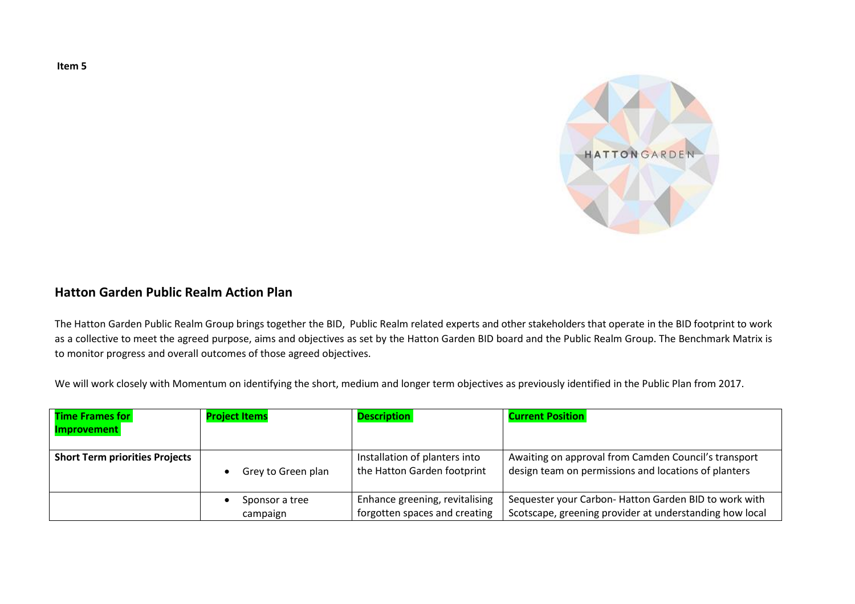

## **Hatton Garden Public Realm Action Plan**

The Hatton Garden Public Realm Group brings together the BID, Public Realm related experts and other stakeholders that operate in the BID footprint to work as a collective to meet the agreed purpose, aims and objectives as set by the Hatton Garden BID board and the Public Realm Group. The Benchmark Matrix is to monitor progress and overall outcomes of those agreed objectives.

We will work closely with Momentum on identifying the short, medium and longer term objectives as previously identified in the Public Plan from 2017.

| <b>Time Frames for</b>                | <b>Project Items</b> | <b>Description</b>             | <b>Current Position</b>                                 |
|---------------------------------------|----------------------|--------------------------------|---------------------------------------------------------|
| <b>Improvement</b>                    |                      |                                |                                                         |
|                                       |                      |                                |                                                         |
| <b>Short Term priorities Projects</b> |                      | Installation of planters into  | Awaiting on approval from Camden Council's transport    |
|                                       | Grey to Green plan   | the Hatton Garden footprint    | design team on permissions and locations of planters    |
|                                       |                      |                                |                                                         |
|                                       | Sponsor a tree       | Enhance greening, revitalising | Sequester your Carbon-Hatton Garden BID to work with    |
|                                       | campaign             | forgotten spaces and creating  | Scotscape, greening provider at understanding how local |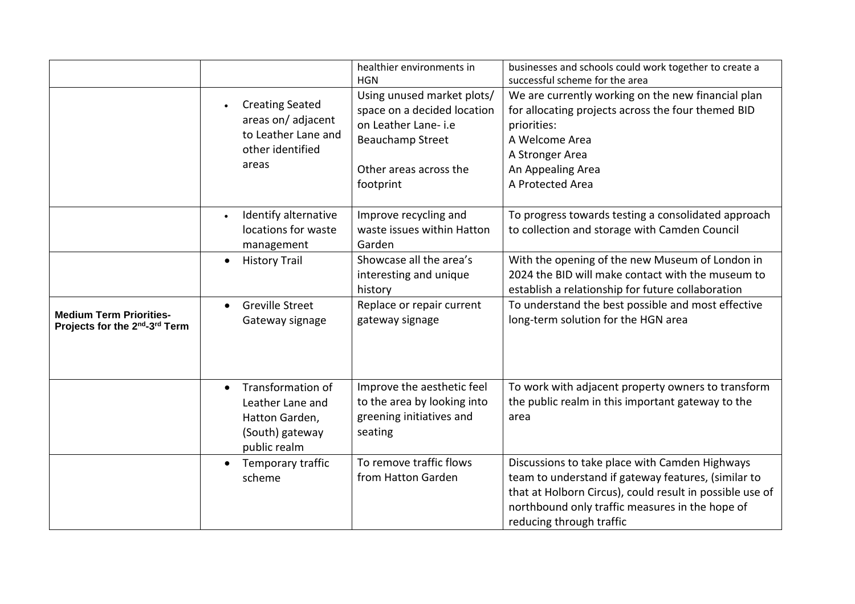|                                                                 |                                                                                                         | healthier environments in<br><b>HGN</b>                                                                                                            | businesses and schools could work together to create a<br>successful scheme for the area                                                                                                                                                         |
|-----------------------------------------------------------------|---------------------------------------------------------------------------------------------------------|----------------------------------------------------------------------------------------------------------------------------------------------------|--------------------------------------------------------------------------------------------------------------------------------------------------------------------------------------------------------------------------------------------------|
|                                                                 | <b>Creating Seated</b><br>areas on/adjacent<br>to Leather Lane and<br>other identified<br>areas         | Using unused market plots/<br>space on a decided location<br>on Leather Lane-i.e<br><b>Beauchamp Street</b><br>Other areas across the<br>footprint | We are currently working on the new financial plan<br>for allocating projects across the four themed BID<br>priorities:<br>A Welcome Area<br>A Stronger Area<br>An Appealing Area<br>A Protected Area                                            |
|                                                                 | Identify alternative<br>locations for waste<br>management                                               | Improve recycling and<br>waste issues within Hatton<br>Garden                                                                                      | To progress towards testing a consolidated approach<br>to collection and storage with Camden Council                                                                                                                                             |
|                                                                 | <b>History Trail</b><br>$\bullet$                                                                       | Showcase all the area's<br>interesting and unique<br>history                                                                                       | With the opening of the new Museum of London in<br>2024 the BID will make contact with the museum to<br>establish a relationship for future collaboration                                                                                        |
| <b>Medium Term Priorities-</b><br>Projects for the 2nd-3rd Term | <b>Greville Street</b><br>$\bullet$<br>Gateway signage                                                  | Replace or repair current<br>gateway signage                                                                                                       | To understand the best possible and most effective<br>long-term solution for the HGN area                                                                                                                                                        |
|                                                                 | Transformation of<br>$\bullet$<br>Leather Lane and<br>Hatton Garden,<br>(South) gateway<br>public realm | Improve the aesthetic feel<br>to the area by looking into<br>greening initiatives and<br>seating                                                   | To work with adjacent property owners to transform<br>the public realm in this important gateway to the<br>area                                                                                                                                  |
|                                                                 | Temporary traffic<br>$\bullet$<br>scheme                                                                | To remove traffic flows<br>from Hatton Garden                                                                                                      | Discussions to take place with Camden Highways<br>team to understand if gateway features, (similar to<br>that at Holborn Circus), could result in possible use of<br>northbound only traffic measures in the hope of<br>reducing through traffic |